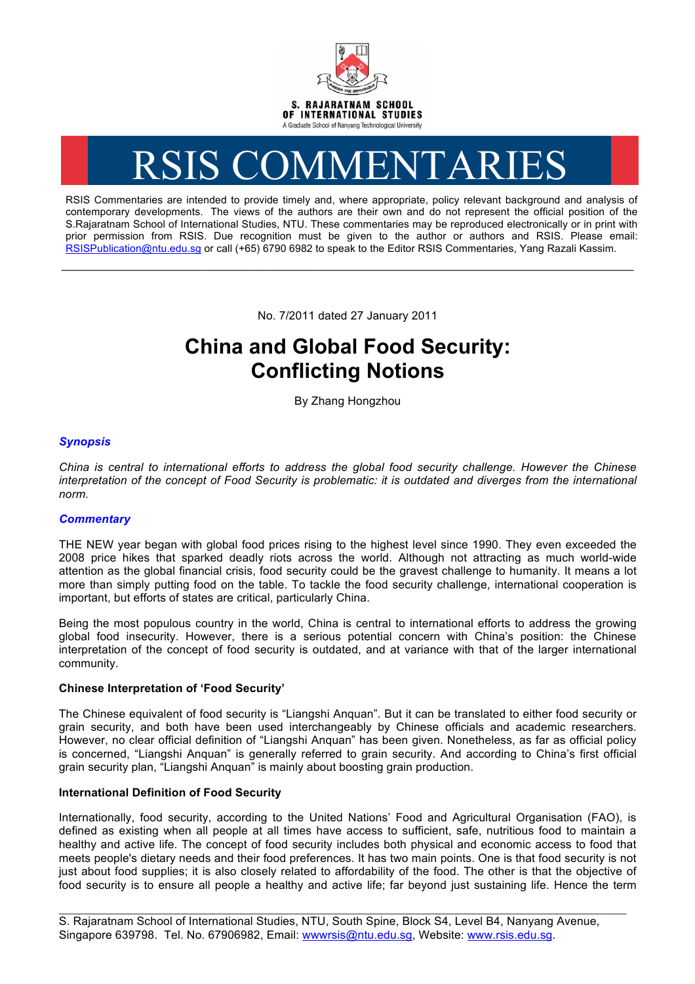

# RSIS COMMENTARIES

RSIS Commentaries are intended to provide timely and, where appropriate, policy relevant background and analysis of contemporary developments. The views of the authors are their own and do not represent the official position of the S.Rajaratnam School of International Studies, NTU. These commentaries may be reproduced electronically or in print with prior permission from RSIS. Due recognition must be given to the author or authors and RSIS. Please email: RSISPublication@ntu.edu.sg or call (+65) 6790 6982 to speak to the Editor RSIS Commentaries, Yang Razali Kassim.

No. 7/2011 dated 27 January 2011

**\_\_\_\_\_\_\_\_\_\_\_\_\_\_\_\_\_\_\_\_\_\_\_\_\_\_\_\_\_\_\_\_\_\_\_\_\_\_\_\_\_\_\_\_\_\_\_\_\_\_\_\_\_\_\_\_\_\_\_\_\_\_\_\_\_\_\_\_\_\_\_\_\_\_\_\_\_\_\_\_\_\_\_\_\_\_\_\_\_\_\_\_\_\_\_\_\_\_**

# **China and Global Food Security: Conflicting Notions**

By Zhang Hongzhou

## *Synopsis*

*China is central to international efforts to address the global food security challenge. However the Chinese interpretation of the concept of Food Security is problematic: it is outdated and diverges from the international norm.* 

### *Commentary*

THE NEW year began with global food prices rising to the highest level since 1990. They even exceeded the 2008 price hikes that sparked deadly riots across the world. Although not attracting as much world-wide attention as the global financial crisis, food security could be the gravest challenge to humanity. It means a lot more than simply putting food on the table. To tackle the food security challenge, international cooperation is important, but efforts of states are critical, particularly China.

Being the most populous country in the world, China is central to international efforts to address the growing global food insecurity. However, there is a serious potential concern with China's position: the Chinese interpretation of the concept of food security is outdated, and at variance with that of the larger international community.

#### **Chinese Interpretation of 'Food Security'**

The Chinese equivalent of food security is "Liangshi Anquan". But it can be translated to either food security or grain security, and both have been used interchangeably by Chinese officials and academic researchers. However, no clear official definition of "Liangshi Anquan" has been given. Nonetheless, as far as official policy is concerned, "Liangshi Anquan" is generally referred to grain security. And according to China's first official grain security plan, "Liangshi Anquan" is mainly about boosting grain production.

#### **International Definition of Food Security**

Internationally, food security, according to the United Nations' Food and Agricultural Organisation (FAO), is defined as existing when all people at all times have access to sufficient, safe, nutritious food to maintain a healthy and active life. The concept of food security includes both physical and economic access to food that meets people's dietary needs and their food preferences. It has two main points. One is that food security is not just about food supplies; it is also closely related to affordability of the food. The other is that the objective of food security is to ensure all people a healthy and active life; far beyond just sustaining life. Hence the term